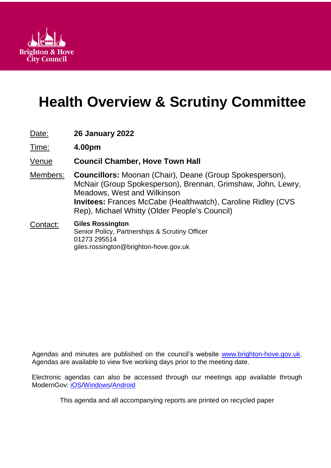

# **Health Overview & Scrutiny Committee**

| Date: | <b>26 January 2022</b> |
|-------|------------------------|
|-------|------------------------|

Time: **4.00pm**

### Venue **Council Chamber, Hove Town Hall**

- Members: **Councillors:** Moonan (Chair), Deane (Group Spokesperson), McNair (Group Spokesperson), Brennan, Grimshaw, John, Lewry, Meadows, West and Wilkinson **Invitees:** Frances McCabe (Healthwatch), Caroline Ridley (CVS Rep), Michael Whitty (Older People's Council)
- Contact: **Giles Rossington** Senior Policy, Partnerships & Scrutiny Officer 01273 295514 giles.rossington@brighton-hove.gov.uk

Agendas and minutes are published on the council's website [www.brighton-hove.gov.uk.](http://www.brighton-hove.gov.uk/) Agendas are available to view five working days prior to the meeting date.

Electronic agendas can also be accessed through our meetings app available through ModernGov: [iOS](https://play.google.com/store/apps/details?id=uk.co.moderngov.modgov&hl=en_GB)[/Windows/](https://www.microsoft.com/en-gb/p/modgov/9nblggh0c7s7#activetab=pivot:overviewtab)[Android](https://play.google.com/store/apps/details?id=uk.co.moderngov.modgov&hl=en_GB)

This agenda and all accompanying reports are printed on recycled paper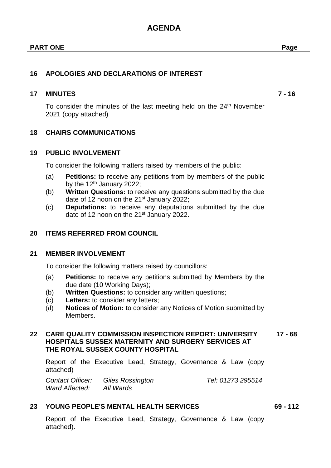## **AGENDA**

### **16 APOLOGIES AND DECLARATIONS OF INTEREST**

### **17 MINUTES 7 - 16**

To consider the minutes of the last meeting held on the 24<sup>th</sup> November 2021 (copy attached)

### **18 CHAIRS COMMUNICATIONS**

### **19 PUBLIC INVOLVEMENT**

To consider the following matters raised by members of the public:

- (a) **Petitions:** to receive any petitions from by members of the public by the  $12<sup>th</sup>$  January 2022:
- (b) **Written Questions:** to receive any questions submitted by the due date of 12 noon on the 21<sup>st</sup> January 2022;
- (c) **Deputations:** to receive any deputations submitted by the due date of 12 noon on the 21<sup>st</sup> January 2022.

### **20 ITEMS REFERRED FROM COUNCIL**

### **21 MEMBER INVOLVEMENT**

To consider the following matters raised by councillors:

- (a) **Petitions:** to receive any petitions submitted by Members by the due date (10 Working Days);
- (b) **Written Questions:** to consider any written questions;
- (c) **Letters:** to consider any letters;
- (d) **Notices of Motion:** to consider any Notices of Motion submitted by Members.

#### **22 CARE QUALITY COMMISSION INSPECTION REPORT: UNIVERSITY HOSPITALS SUSSEX MATERNITY AND SURGERY SERVICES AT THE ROYAL SUSSEX COUNTY HOSPITAL 17 - 68**

Report of the Executive Lead, Strategy, Governance & Law (copy attached)

*Contact Officer: Giles Rossington Tel: 01273 295514 Ward Affected: All Wards*

### **23 YOUNG PEOPLE'S MENTAL HEALTH SERVICES 69 - 112**

Report of the Executive Lead, Strategy, Governance & Law (copy attached).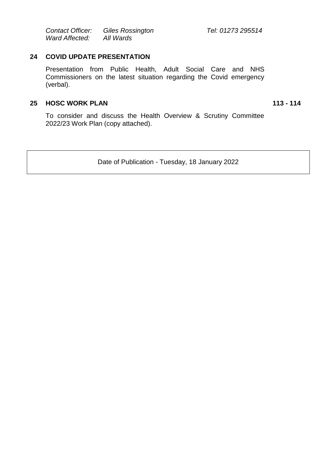*Contact Officer: Giles Rossington Tel: 01273 295514 Ward Affected: All Wards*

### **24 COVID UPDATE PRESENTATION**

Presentation from Public Health, Adult Social Care and NHS Commissioners on the latest situation regarding the Covid emergency (verbal).

### **25 HOSC WORK PLAN 113 - 114**

To consider and discuss the Health Overview & Scrutiny Committee 2022/23 Work Plan (copy attached).

Date of Publication - Tuesday, 18 January 2022